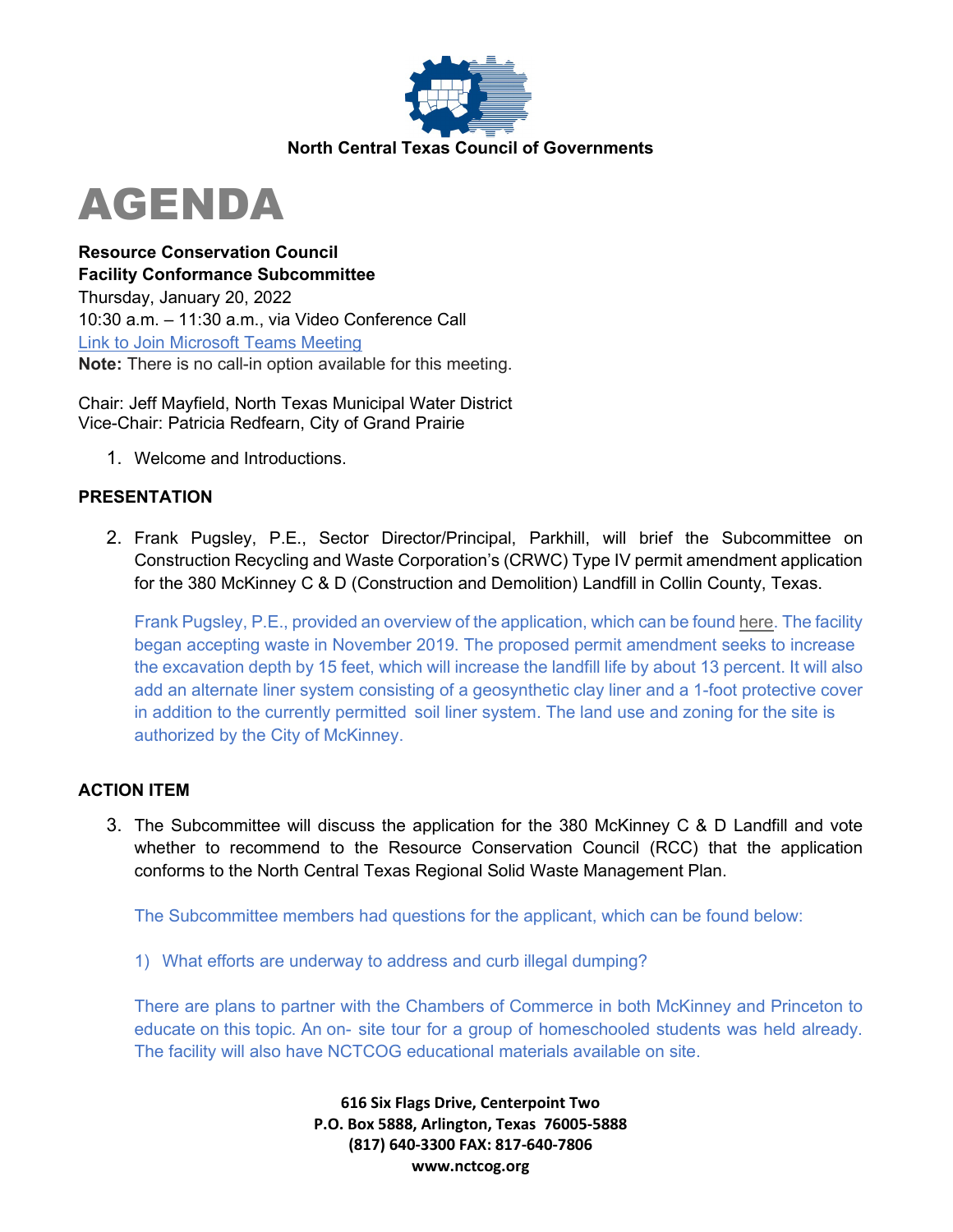

# AGENDA

**Resource Conservation Council Facility Conformance Subcommittee**  Thursday, January 20, 2022 10:30 a.m. – 11:30 a.m., via Video Conference Call [Link to Join Microsoft Teams Meeting](https://teams.microsoft.com/l/meetup-join/19%3ameeting_Mzg4MmNmYzctMjEwOC00YTA4LTk5ZTAtYjA5NzM4M2FmNTYw%40thread.v2/0?context=%7b%22Tid%22%3a%222f5e7ebc-22b0-4fbe-934c-aabddb4e29b1%22%2c%22Oid%22%3a%22cab28b78-d671-4384-9c8e-6035f7c46b7d%22%7d) **Note:** There is no call-in option available for this meeting.

Chair: Jeff Mayfield, North Texas Municipal Water District Vice-Chair: Patricia Redfearn, City of Grand Prairie

1. Welcome and Introductions.

## **PRESENTATION**

2. Frank Pugsley, P.E., Sector Director/Principal, Parkhill, will brief the Subcommittee on Construction Recycling and Waste Corporation's (CRWC) Type IV permit amendment application for the 380 McKinney C & D (Construction and Demolition) Landfill in Collin County, Texas.

Frank Pugsley, P.E., provided an overview of the application, which can be found [here.](https://parkhill.com/tceq-permits/) The facility began accepting waste in November 2019. The proposed permit amendment seeks to increase the excavation depth by 15 feet, which will increase the landfill life by about 13 percent. It will also add an alternate liner system consisting of a geosynthetic clay liner and a 1-foot protective cover in addition to the currently permitted soil liner system. The land use and zoning for the site is authorized by the City of McKinney.

## **ACTION ITEM**

3. The Subcommittee will discuss the application for the 380 McKinney C & D Landfill and vote whether to recommend to the Resource Conservation Council (RCC) that the application conforms to the North Central Texas Regional Solid Waste Management Plan.

The Subcommittee members had questions for the applicant, which can be found below:

1) What efforts are underway to address and curb illegal dumping?

There are plans to partner with the Chambers of Commerce in both McKinney and Princeton to educate on this topic. An on- site tour for a group of homeschooled students was held already. The facility will also have NCTCOG educational materials available on site.

> **616 Six Flags Drive, Centerpoint Two P.O. Box 5888, Arlington, Texas 76005-5888 (817) 640-3300 FAX: 817-640-7806 www.nctcog.org**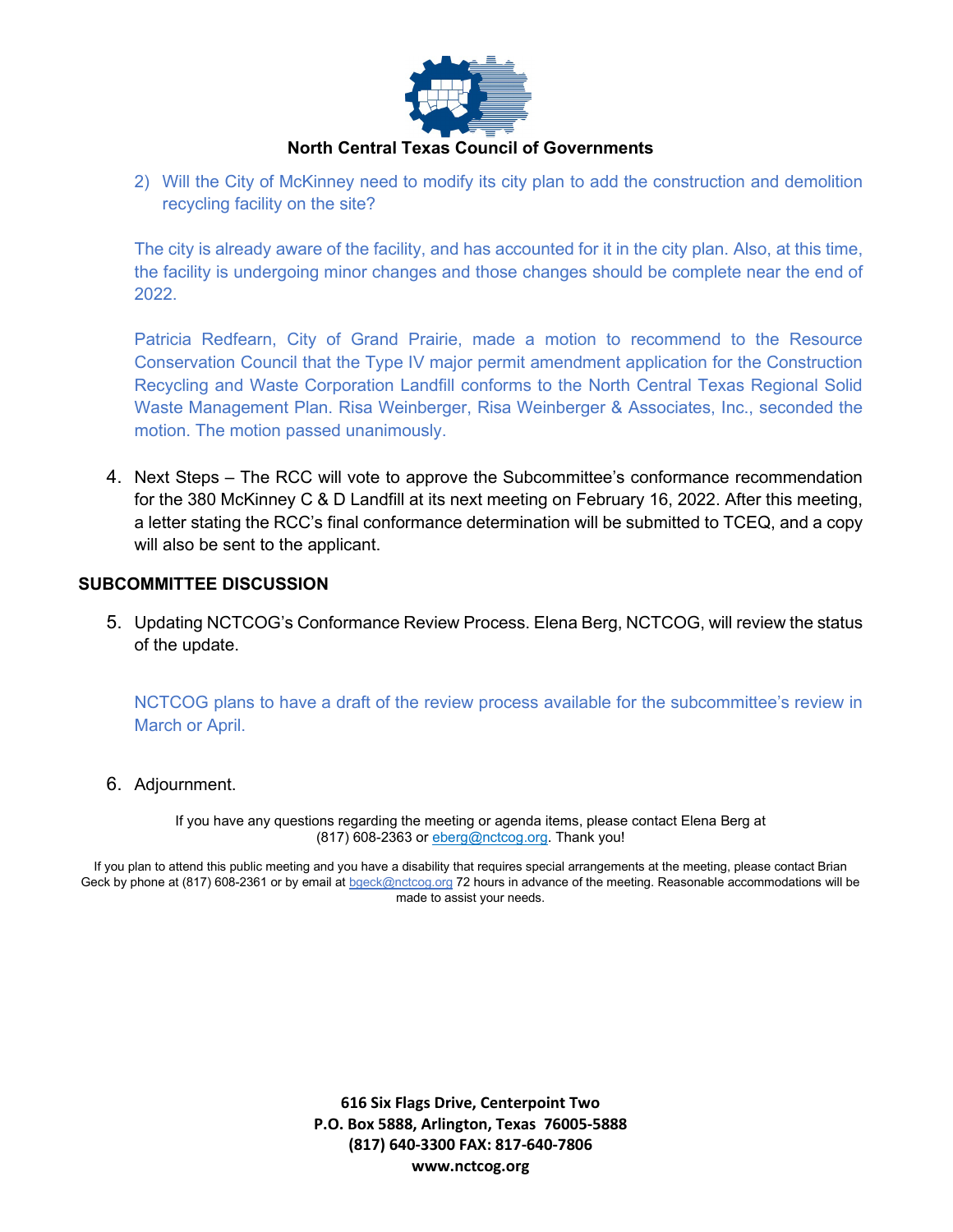

#### **North Central Texas Council of Governments**

2) Will the City of McKinney need to modify its city plan to add the construction and demolition recycling facility on the site?

The city is already aware of the facility, and has accounted for it in the city plan. Also, at this time, the facility is undergoing minor changes and those changes should be complete near the end of 2022.

Patricia Redfearn, City of Grand Prairie, made a motion to recommend to the Resource Conservation Council that the Type IV major permit amendment application for the Construction Recycling and Waste Corporation Landfill conforms to the North Central Texas Regional Solid Waste Management Plan. Risa Weinberger, Risa Weinberger & Associates, Inc., seconded the motion. The motion passed unanimously.

4. Next Steps – The RCC will vote to approve the Subcommittee's conformance recommendation for the 380 McKinney C & D Landfill at its next meeting on February 16, 2022. After this meeting, a letter stating the RCC's final conformance determination will be submitted to TCEQ, and a copy will also be sent to the applicant.

#### **SUBCOMMITTEE DISCUSSION**

5. Updating NCTCOG's Conformance Review Process. Elena Berg, NCTCOG, will review the status of the update.

NCTCOG plans to have a draft of the review process available for the subcommittee's review in March or April.

6. Adjournment.

If you have any questions regarding the meeting or agenda items, please contact Elena Berg at (817) 608-2363 or [eberg@nctcog.org.](mailto:eberg@nctcog.org) Thank you!

If you plan to attend this public meeting and you have a disability that requires special arrangements at the meeting, please contact Brian Geck by phone at (817) 608-2361 or by email a[t bgeck@nctcog.org](mailto:bgeck@nctcog.org) 72 hours in advance of the meeting. Reasonable accommodations will be made to assist your needs.

> **616 Six Flags Drive, Centerpoint Two P.O. Box 5888, Arlington, Texas 76005-5888 (817) 640-3300 FAX: 817-640-7806 www.nctcog.org**